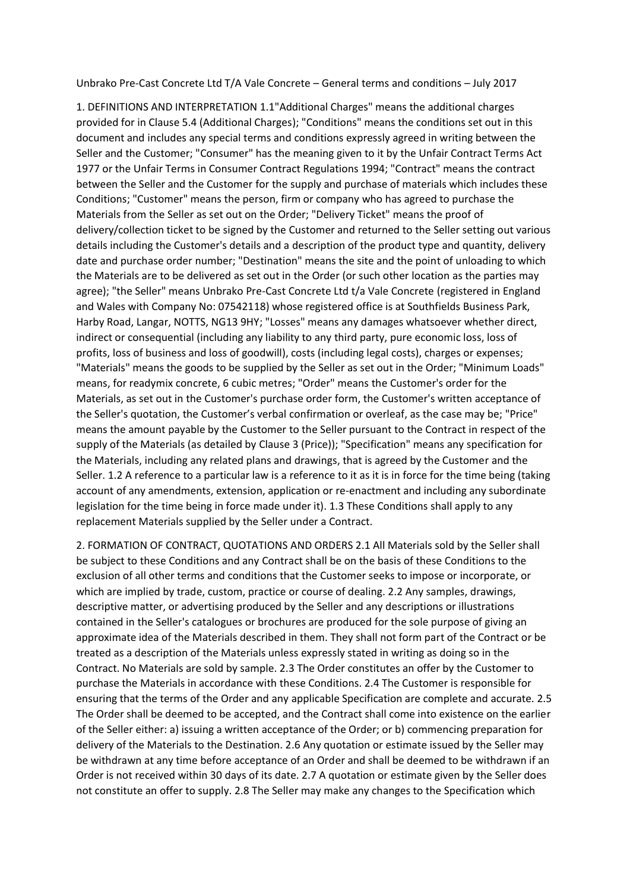Unbrako Pre-Cast Concrete Ltd T/A Vale Concrete – General terms and conditions – July 2017

1. DEFINITIONS AND INTERPRETATION 1.1"Additional Charges" means the additional charges provided for in Clause 5.4 (Additional Charges); "Conditions" means the conditions set out in this document and includes any special terms and conditions expressly agreed in writing between the Seller and the Customer; "Consumer" has the meaning given to it by the Unfair Contract Terms Act 1977 or the Unfair Terms in Consumer Contract Regulations 1994; "Contract" means the contract between the Seller and the Customer for the supply and purchase of materials which includes these Conditions; "Customer" means the person, firm or company who has agreed to purchase the Materials from the Seller as set out on the Order; "Delivery Ticket" means the proof of delivery/collection ticket to be signed by the Customer and returned to the Seller setting out various details including the Customer's details and a description of the product type and quantity, delivery date and purchase order number; "Destination" means the site and the point of unloading to which the Materials are to be delivered as set out in the Order (or such other location as the parties may agree); "the Seller" means Unbrako Pre-Cast Concrete Ltd t/a Vale Concrete (registered in England and Wales with Company No: 07542118) whose registered office is at Southfields Business Park, Harby Road, Langar, NOTTS, NG13 9HY; "Losses" means any damages whatsoever whether direct, indirect or consequential (including any liability to any third party, pure economic loss, loss of profits, loss of business and loss of goodwill), costs (including legal costs), charges or expenses; "Materials" means the goods to be supplied by the Seller as set out in the Order; "Minimum Loads" means, for readymix concrete, 6 cubic metres; "Order" means the Customer's order for the Materials, as set out in the Customer's purchase order form, the Customer's written acceptance of the Seller's quotation, the Customer's verbal confirmation or overleaf, as the case may be; "Price" means the amount payable by the Customer to the Seller pursuant to the Contract in respect of the supply of the Materials (as detailed by Clause 3 (Price)); "Specification" means any specification for the Materials, including any related plans and drawings, that is agreed by the Customer and the Seller. 1.2 A reference to a particular law is a reference to it as it is in force for the time being (taking account of any amendments, extension, application or re-enactment and including any subordinate legislation for the time being in force made under it). 1.3 These Conditions shall apply to any replacement Materials supplied by the Seller under a Contract.

2. FORMATION OF CONTRACT, QUOTATIONS AND ORDERS 2.1 All Materials sold by the Seller shall be subject to these Conditions and any Contract shall be on the basis of these Conditions to the exclusion of all other terms and conditions that the Customer seeks to impose or incorporate, or which are implied by trade, custom, practice or course of dealing. 2.2 Any samples, drawings, descriptive matter, or advertising produced by the Seller and any descriptions or illustrations contained in the Seller's catalogues or brochures are produced for the sole purpose of giving an approximate idea of the Materials described in them. They shall not form part of the Contract or be treated as a description of the Materials unless expressly stated in writing as doing so in the Contract. No Materials are sold by sample. 2.3 The Order constitutes an offer by the Customer to purchase the Materials in accordance with these Conditions. 2.4 The Customer is responsible for ensuring that the terms of the Order and any applicable Specification are complete and accurate. 2.5 The Order shall be deemed to be accepted, and the Contract shall come into existence on the earlier of the Seller either: a) issuing a written acceptance of the Order; or b) commencing preparation for delivery of the Materials to the Destination. 2.6 Any quotation or estimate issued by the Seller may be withdrawn at any time before acceptance of an Order and shall be deemed to be withdrawn if an Order is not received within 30 days of its date. 2.7 A quotation or estimate given by the Seller does not constitute an offer to supply. 2.8 The Seller may make any changes to the Specification which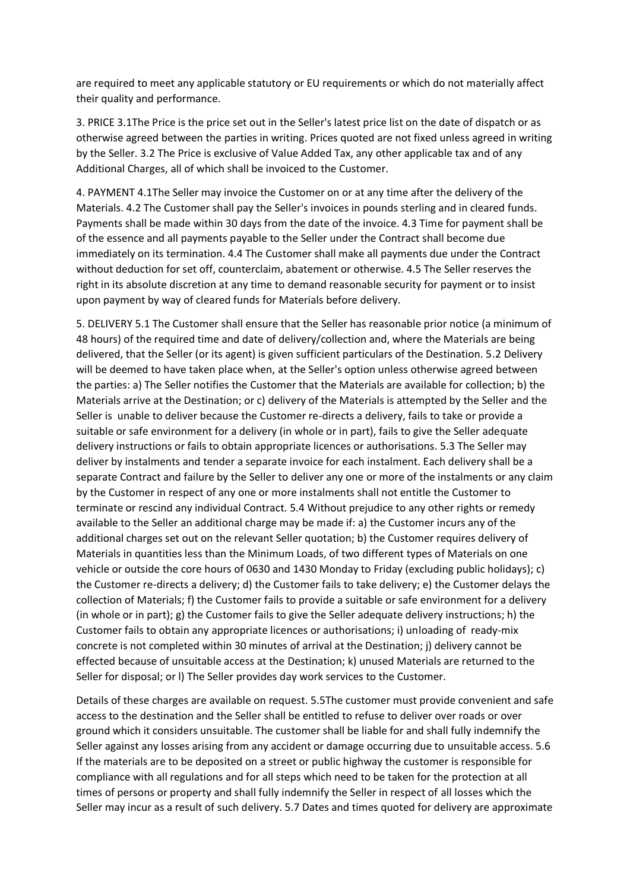are required to meet any applicable statutory or EU requirements or which do not materially affect their quality and performance.

3. PRICE 3.1The Price is the price set out in the Seller's latest price list on the date of dispatch or as otherwise agreed between the parties in writing. Prices quoted are not fixed unless agreed in writing by the Seller. 3.2 The Price is exclusive of Value Added Tax, any other applicable tax and of any Additional Charges, all of which shall be invoiced to the Customer.

4. PAYMENT 4.1The Seller may invoice the Customer on or at any time after the delivery of the Materials. 4.2 The Customer shall pay the Seller's invoices in pounds sterling and in cleared funds. Payments shall be made within 30 days from the date of the invoice. 4.3 Time for payment shall be of the essence and all payments payable to the Seller under the Contract shall become due immediately on its termination. 4.4 The Customer shall make all payments due under the Contract without deduction for set off, counterclaim, abatement or otherwise. 4.5 The Seller reserves the right in its absolute discretion at any time to demand reasonable security for payment or to insist upon payment by way of cleared funds for Materials before delivery.

5. DELIVERY 5.1 The Customer shall ensure that the Seller has reasonable prior notice (a minimum of 48 hours) of the required time and date of delivery/collection and, where the Materials are being delivered, that the Seller (or its agent) is given sufficient particulars of the Destination. 5.2 Delivery will be deemed to have taken place when, at the Seller's option unless otherwise agreed between the parties: a) The Seller notifies the Customer that the Materials are available for collection; b) the Materials arrive at the Destination; or c) delivery of the Materials is attempted by the Seller and the Seller is unable to deliver because the Customer re-directs a delivery, fails to take or provide a suitable or safe environment for a delivery (in whole or in part), fails to give the Seller adequate delivery instructions or fails to obtain appropriate licences or authorisations. 5.3 The Seller may deliver by instalments and tender a separate invoice for each instalment. Each delivery shall be a separate Contract and failure by the Seller to deliver any one or more of the instalments or any claim by the Customer in respect of any one or more instalments shall not entitle the Customer to terminate or rescind any individual Contract. 5.4 Without prejudice to any other rights or remedy available to the Seller an additional charge may be made if: a) the Customer incurs any of the additional charges set out on the relevant Seller quotation; b) the Customer requires delivery of Materials in quantities less than the Minimum Loads, of two different types of Materials on one vehicle or outside the core hours of 0630 and 1430 Monday to Friday (excluding public holidays); c) the Customer re-directs a delivery; d) the Customer fails to take delivery; e) the Customer delays the collection of Materials; f) the Customer fails to provide a suitable or safe environment for a delivery (in whole or in part); g) the Customer fails to give the Seller adequate delivery instructions; h) the Customer fails to obtain any appropriate licences or authorisations; i) unloading of ready-mix concrete is not completed within 30 minutes of arrival at the Destination; j) delivery cannot be effected because of unsuitable access at the Destination; k) unused Materials are returned to the Seller for disposal; or l) The Seller provides day work services to the Customer.

Details of these charges are available on request. 5.5The customer must provide convenient and safe access to the destination and the Seller shall be entitled to refuse to deliver over roads or over ground which it considers unsuitable. The customer shall be liable for and shall fully indemnify the Seller against any losses arising from any accident or damage occurring due to unsuitable access. 5.6 If the materials are to be deposited on a street or public highway the customer is responsible for compliance with all regulations and for all steps which need to be taken for the protection at all times of persons or property and shall fully indemnify the Seller in respect of all losses which the Seller may incur as a result of such delivery. 5.7 Dates and times quoted for delivery are approximate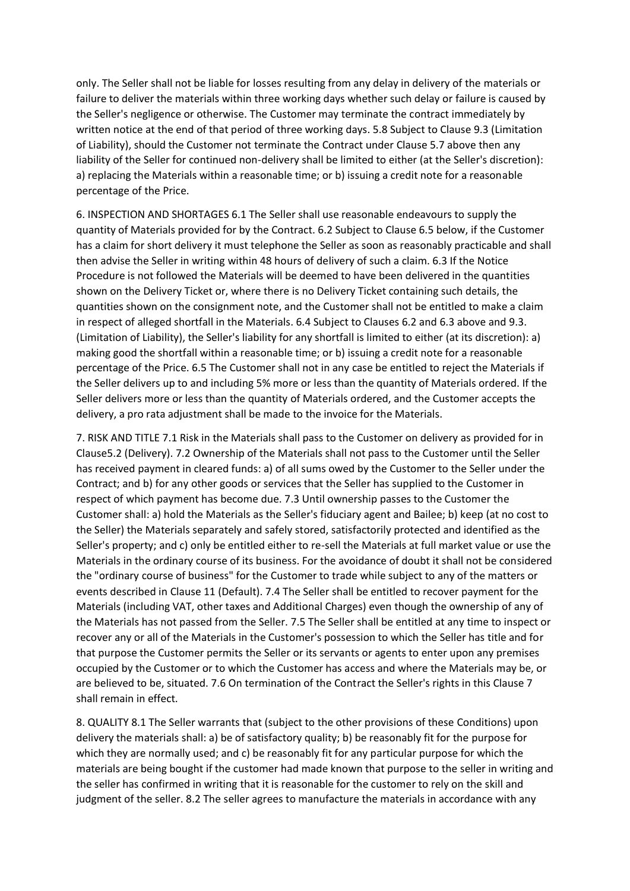only. The Seller shall not be liable for losses resulting from any delay in delivery of the materials or failure to deliver the materials within three working days whether such delay or failure is caused by the Seller's negligence or otherwise. The Customer may terminate the contract immediately by written notice at the end of that period of three working days. 5.8 Subject to Clause 9.3 (Limitation of Liability), should the Customer not terminate the Contract under Clause 5.7 above then any liability of the Seller for continued non-delivery shall be limited to either (at the Seller's discretion): a) replacing the Materials within a reasonable time; or b) issuing a credit note for a reasonable percentage of the Price.

6. INSPECTION AND SHORTAGES 6.1 The Seller shall use reasonable endeavours to supply the quantity of Materials provided for by the Contract. 6.2 Subject to Clause 6.5 below, if the Customer has a claim for short delivery it must telephone the Seller as soon as reasonably practicable and shall then advise the Seller in writing within 48 hours of delivery of such a claim. 6.3 If the Notice Procedure is not followed the Materials will be deemed to have been delivered in the quantities shown on the Delivery Ticket or, where there is no Delivery Ticket containing such details, the quantities shown on the consignment note, and the Customer shall not be entitled to make a claim in respect of alleged shortfall in the Materials. 6.4 Subject to Clauses 6.2 and 6.3 above and 9.3. (Limitation of Liability), the Seller's liability for any shortfall is limited to either (at its discretion): a) making good the shortfall within a reasonable time; or b) issuing a credit note for a reasonable percentage of the Price. 6.5 The Customer shall not in any case be entitled to reject the Materials if the Seller delivers up to and including 5% more or less than the quantity of Materials ordered. If the Seller delivers more or less than the quantity of Materials ordered, and the Customer accepts the delivery, a pro rata adjustment shall be made to the invoice for the Materials.

7. RISK AND TITLE 7.1 Risk in the Materials shall pass to the Customer on delivery as provided for in Clause5.2 (Delivery). 7.2 Ownership of the Materials shall not pass to the Customer until the Seller has received payment in cleared funds: a) of all sums owed by the Customer to the Seller under the Contract; and b) for any other goods or services that the Seller has supplied to the Customer in respect of which payment has become due. 7.3 Until ownership passes to the Customer the Customer shall: a) hold the Materials as the Seller's fiduciary agent and Bailee; b) keep (at no cost to the Seller) the Materials separately and safely stored, satisfactorily protected and identified as the Seller's property; and c) only be entitled either to re-sell the Materials at full market value or use the Materials in the ordinary course of its business. For the avoidance of doubt it shall not be considered the "ordinary course of business" for the Customer to trade while subject to any of the matters or events described in Clause 11 (Default). 7.4 The Seller shall be entitled to recover payment for the Materials (including VAT, other taxes and Additional Charges) even though the ownership of any of the Materials has not passed from the Seller. 7.5 The Seller shall be entitled at any time to inspect or recover any or all of the Materials in the Customer's possession to which the Seller has title and for that purpose the Customer permits the Seller or its servants or agents to enter upon any premises occupied by the Customer or to which the Customer has access and where the Materials may be, or are believed to be, situated. 7.6 On termination of the Contract the Seller's rights in this Clause 7 shall remain in effect.

8. QUALITY 8.1 The Seller warrants that (subject to the other provisions of these Conditions) upon delivery the materials shall: a) be of satisfactory quality; b) be reasonably fit for the purpose for which they are normally used; and c) be reasonably fit for any particular purpose for which the materials are being bought if the customer had made known that purpose to the seller in writing and the seller has confirmed in writing that it is reasonable for the customer to rely on the skill and judgment of the seller. 8.2 The seller agrees to manufacture the materials in accordance with any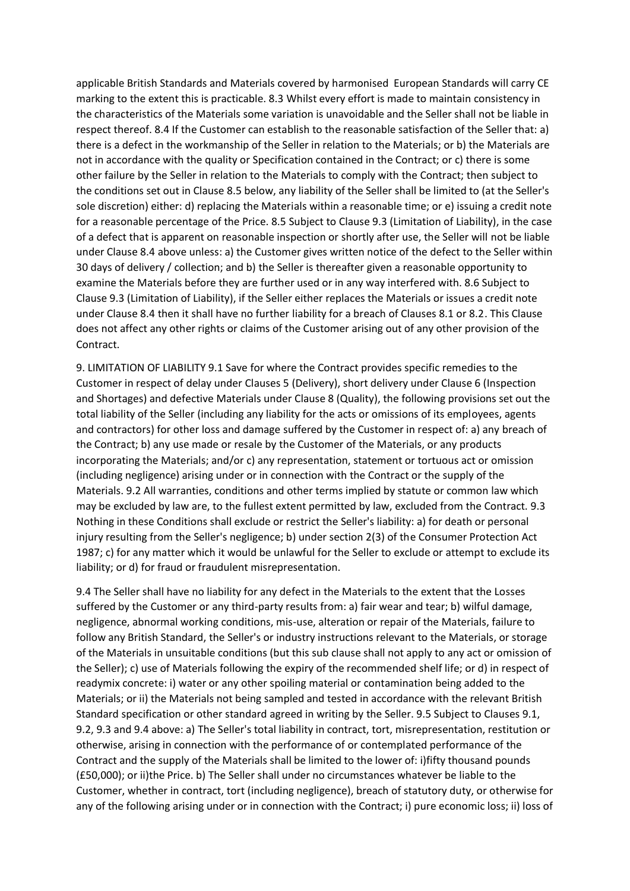applicable British Standards and Materials covered by harmonised European Standards will carry CE marking to the extent this is practicable. 8.3 Whilst every effort is made to maintain consistency in the characteristics of the Materials some variation is unavoidable and the Seller shall not be liable in respect thereof. 8.4 If the Customer can establish to the reasonable satisfaction of the Seller that: a) there is a defect in the workmanship of the Seller in relation to the Materials; or b) the Materials are not in accordance with the quality or Specification contained in the Contract; or c) there is some other failure by the Seller in relation to the Materials to comply with the Contract; then subject to the conditions set out in Clause 8.5 below, any liability of the Seller shall be limited to (at the Seller's sole discretion) either: d) replacing the Materials within a reasonable time; or e) issuing a credit note for a reasonable percentage of the Price. 8.5 Subject to Clause 9.3 (Limitation of Liability), in the case of a defect that is apparent on reasonable inspection or shortly after use, the Seller will not be liable under Clause 8.4 above unless: a) the Customer gives written notice of the defect to the Seller within 30 days of delivery / collection; and b) the Seller is thereafter given a reasonable opportunity to examine the Materials before they are further used or in any way interfered with. 8.6 Subject to Clause 9.3 (Limitation of Liability), if the Seller either replaces the Materials or issues a credit note under Clause 8.4 then it shall have no further liability for a breach of Clauses 8.1 or 8.2. This Clause does not affect any other rights or claims of the Customer arising out of any other provision of the Contract.

9. LIMITATION OF LIABILITY 9.1 Save for where the Contract provides specific remedies to the Customer in respect of delay under Clauses 5 (Delivery), short delivery under Clause 6 (Inspection and Shortages) and defective Materials under Clause 8 (Quality), the following provisions set out the total liability of the Seller (including any liability for the acts or omissions of its employees, agents and contractors) for other loss and damage suffered by the Customer in respect of: a) any breach of the Contract; b) any use made or resale by the Customer of the Materials, or any products incorporating the Materials; and/or c) any representation, statement or tortuous act or omission (including negligence) arising under or in connection with the Contract or the supply of the Materials. 9.2 All warranties, conditions and other terms implied by statute or common law which may be excluded by law are, to the fullest extent permitted by law, excluded from the Contract. 9.3 Nothing in these Conditions shall exclude or restrict the Seller's liability: a) for death or personal injury resulting from the Seller's negligence; b) under section 2(3) of the Consumer Protection Act 1987; c) for any matter which it would be unlawful for the Seller to exclude or attempt to exclude its liability; or d) for fraud or fraudulent misrepresentation.

9.4 The Seller shall have no liability for any defect in the Materials to the extent that the Losses suffered by the Customer or any third-party results from: a) fair wear and tear; b) wilful damage, negligence, abnormal working conditions, mis-use, alteration or repair of the Materials, failure to follow any British Standard, the Seller's or industry instructions relevant to the Materials, or storage of the Materials in unsuitable conditions (but this sub clause shall not apply to any act or omission of the Seller); c) use of Materials following the expiry of the recommended shelf life; or d) in respect of readymix concrete: i) water or any other spoiling material or contamination being added to the Materials; or ii) the Materials not being sampled and tested in accordance with the relevant British Standard specification or other standard agreed in writing by the Seller. 9.5 Subject to Clauses 9.1, 9.2, 9.3 and 9.4 above: a) The Seller's total liability in contract, tort, misrepresentation, restitution or otherwise, arising in connection with the performance of or contemplated performance of the Contract and the supply of the Materials shall be limited to the lower of: i)fifty thousand pounds (£50,000); or ii)the Price. b) The Seller shall under no circumstances whatever be liable to the Customer, whether in contract, tort (including negligence), breach of statutory duty, or otherwise for any of the following arising under or in connection with the Contract; i) pure economic loss; ii) loss of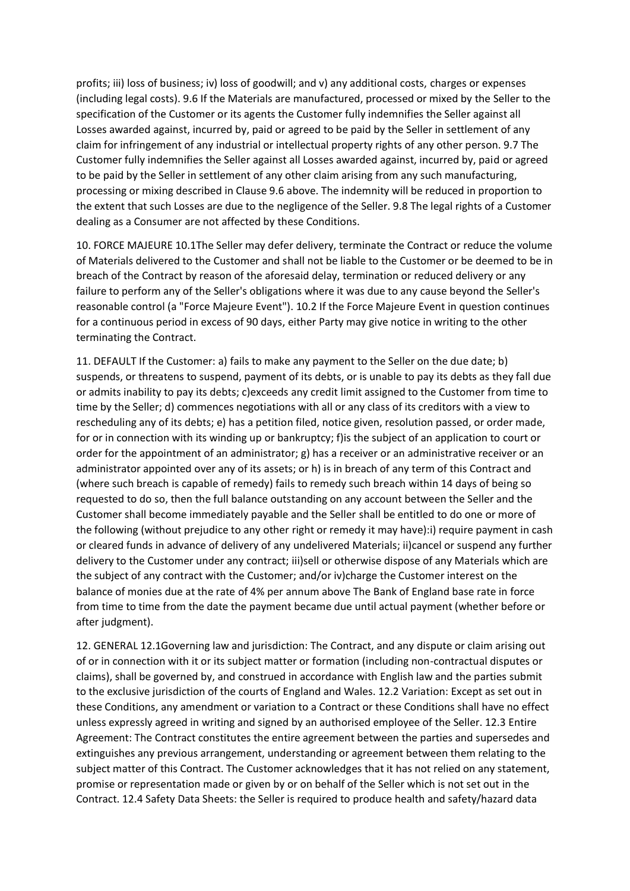profits; iii) loss of business; iv) loss of goodwill; and v) any additional costs, charges or expenses (including legal costs). 9.6 If the Materials are manufactured, processed or mixed by the Seller to the specification of the Customer or its agents the Customer fully indemnifies the Seller against all Losses awarded against, incurred by, paid or agreed to be paid by the Seller in settlement of any claim for infringement of any industrial or intellectual property rights of any other person. 9.7 The Customer fully indemnifies the Seller against all Losses awarded against, incurred by, paid or agreed to be paid by the Seller in settlement of any other claim arising from any such manufacturing, processing or mixing described in Clause 9.6 above. The indemnity will be reduced in proportion to the extent that such Losses are due to the negligence of the Seller. 9.8 The legal rights of a Customer dealing as a Consumer are not affected by these Conditions.

10. FORCE MAJEURE 10.1The Seller may defer delivery, terminate the Contract or reduce the volume of Materials delivered to the Customer and shall not be liable to the Customer or be deemed to be in breach of the Contract by reason of the aforesaid delay, termination or reduced delivery or any failure to perform any of the Seller's obligations where it was due to any cause beyond the Seller's reasonable control (a "Force Majeure Event"). 10.2 If the Force Majeure Event in question continues for a continuous period in excess of 90 days, either Party may give notice in writing to the other terminating the Contract.

11. DEFAULT If the Customer: a) fails to make any payment to the Seller on the due date; b) suspends, or threatens to suspend, payment of its debts, or is unable to pay its debts as they fall due or admits inability to pay its debts; c)exceeds any credit limit assigned to the Customer from time to time by the Seller; d) commences negotiations with all or any class of its creditors with a view to rescheduling any of its debts; e) has a petition filed, notice given, resolution passed, or order made, for or in connection with its winding up or bankruptcy; f)is the subject of an application to court or order for the appointment of an administrator; g) has a receiver or an administrative receiver or an administrator appointed over any of its assets; or h) is in breach of any term of this Contract and (where such breach is capable of remedy) fails to remedy such breach within 14 days of being so requested to do so, then the full balance outstanding on any account between the Seller and the Customer shall become immediately payable and the Seller shall be entitled to do one or more of the following (without prejudice to any other right or remedy it may have):i) require payment in cash or cleared funds in advance of delivery of any undelivered Materials; ii)cancel or suspend any further delivery to the Customer under any contract; iii)sell or otherwise dispose of any Materials which are the subject of any contract with the Customer; and/or iv)charge the Customer interest on the balance of monies due at the rate of 4% per annum above The Bank of England base rate in force from time to time from the date the payment became due until actual payment (whether before or after judgment).

12. GENERAL 12.1Governing law and jurisdiction: The Contract, and any dispute or claim arising out of or in connection with it or its subject matter or formation (including non-contractual disputes or claims), shall be governed by, and construed in accordance with English law and the parties submit to the exclusive jurisdiction of the courts of England and Wales. 12.2 Variation: Except as set out in these Conditions, any amendment or variation to a Contract or these Conditions shall have no effect unless expressly agreed in writing and signed by an authorised employee of the Seller. 12.3 Entire Agreement: The Contract constitutes the entire agreement between the parties and supersedes and extinguishes any previous arrangement, understanding or agreement between them relating to the subject matter of this Contract. The Customer acknowledges that it has not relied on any statement, promise or representation made or given by or on behalf of the Seller which is not set out in the Contract. 12.4 Safety Data Sheets: the Seller is required to produce health and safety/hazard data